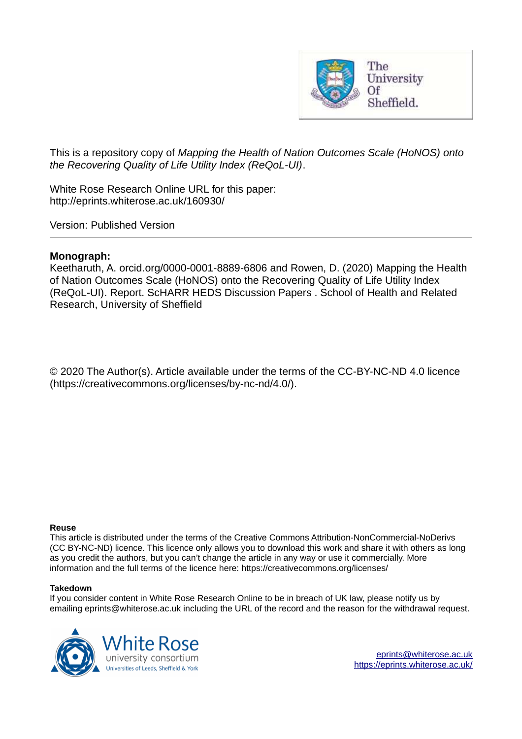

This is a repository copy of *Mapping the Health of Nation Outcomes Scale (HoNOS) onto the Recovering Quality of Life Utility Index (ReQoL-UI)*.

White Rose Research Online URL for this paper: http://eprints.whiterose.ac.uk/160930/

Version: Published Version

#### **Monograph:**

Keetharuth, A. orcid.org/0000-0001-8889-6806 and Rowen, D. (2020) Mapping the Health of Nation Outcomes Scale (HoNOS) onto the Recovering Quality of Life Utility Index (ReQoL-UI). Report. ScHARR HEDS Discussion Papers . School of Health and Related Research, University of Sheffield

© 2020 The Author(s). Article available under the terms of the CC-BY-NC-ND 4.0 licence (https://creativecommons.org/licenses/by-nc-nd/4.0/).

#### **Reuse**

This article is distributed under the terms of the Creative Commons Attribution-NonCommercial-NoDerivs (CC BY-NC-ND) licence. This licence only allows you to download this work and share it with others as long as you credit the authors, but you can't change the article in any way or use it commercially. More information and the full terms of the licence here: https://creativecommons.org/licenses/

#### **Takedown**

If you consider content in White Rose Research Online to be in breach of UK law, please notify us by emailing eprints@whiterose.ac.uk including the URL of the record and the reason for the withdrawal request.

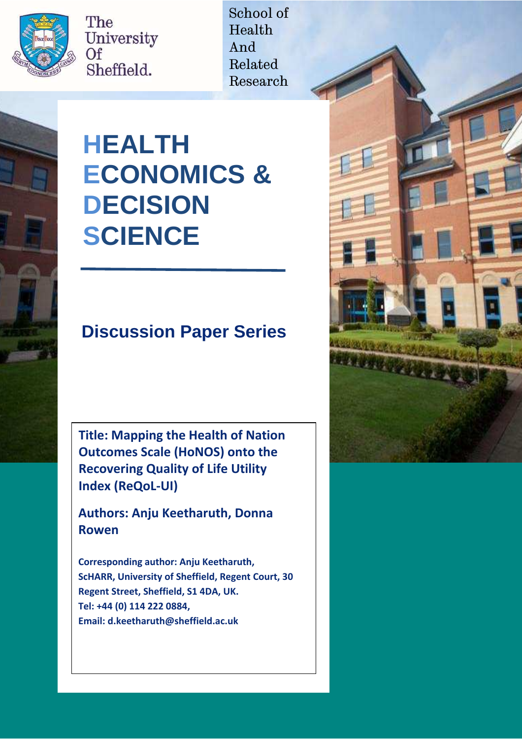

The University Of Sheffield.

School of Health And Related Research

# **HEALTH ECONOMICS & DECISION SCIENCE**

# **Discussion Paper Series**

**Title: Mapping the Health of Nation Outcomes Scale (HoNOS) onto the Recovering Quality of Life Utility Index (ReQoL-UI)** 

**Authors: Anju Keetharuth, Donna Rowen** 

**Corresponding author: Anju Keetharuth, ScHARR, University of Sheffield, Regent Court, 30 Regent Street, Sheffield, S1 4DA, UK. Tel: +44 (0) 114 222 0ΒΒヴ,**  Email: **d.keetharuth@sheffield.ac.uk** 

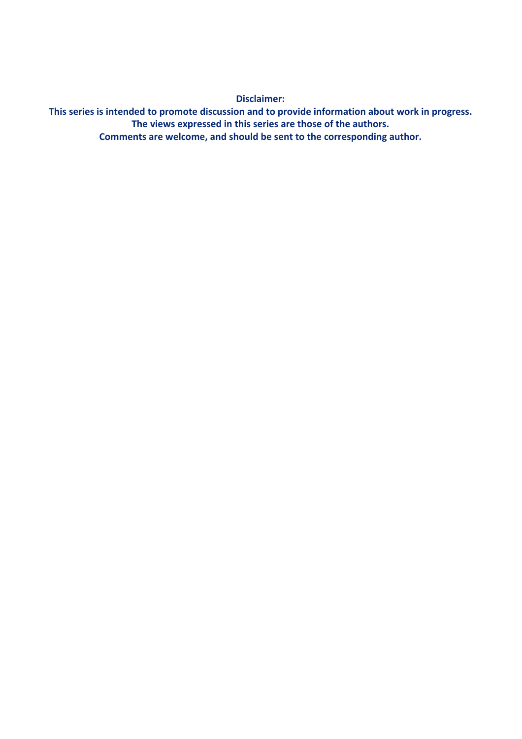**Disclaimer:** 

This series is intended to promote discussion and to provide information about work in progress. The views expressed in this series are those of the authors. Comments are welcome, and should be sent to the corresponding author.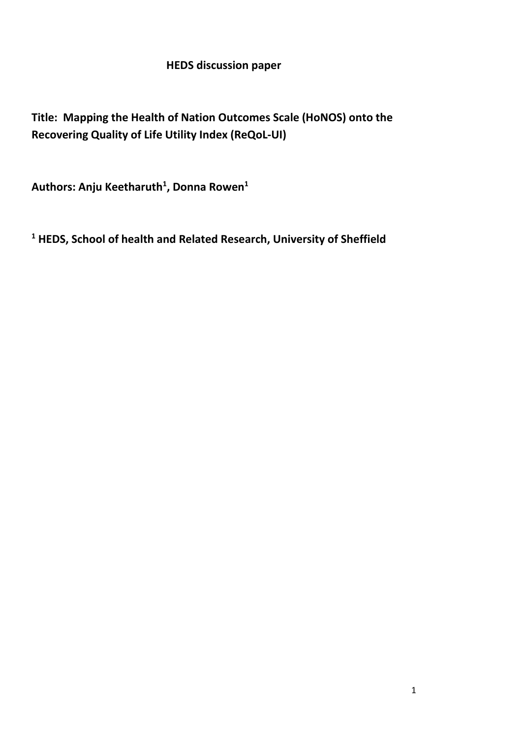### **HEDS discussion paper**

## **Title: Mapping the Health of Nation Outcomes Scale (HoNOS) onto the Recovering Quality of Life Utility Index (ReQoL-UI)**

**Authors: Anju Keetharuth<sup>1</sup> , Donna Rowen<sup>1</sup>** 

**<sup>1</sup> HEDS, School of health and Related Research, University of Sheffield**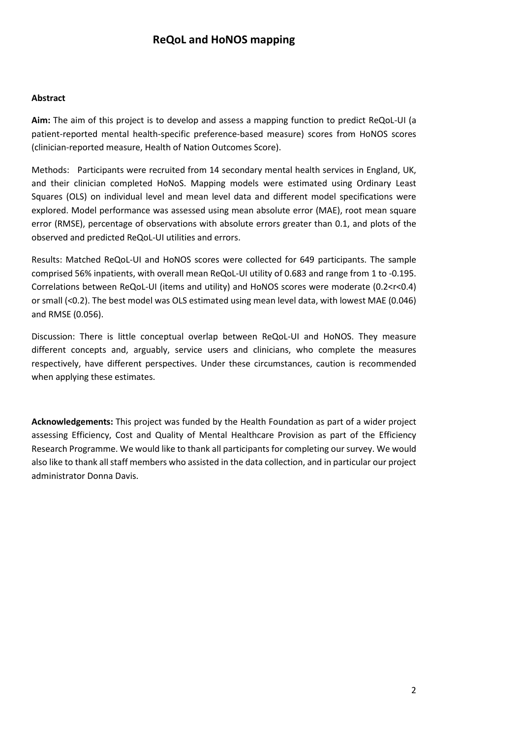#### **ReQoL and HoNOS mapping**

#### **Abstract**

**Aim:** The aim of this project is to develop and assess a mapping function to predict ReQoL-UI (a patient-reported mental health-specific preference-based measure) scores from HoNOS scores (clinician-reported measure, Health of Nation Outcomes Score).

Methods: Participants were recruited from 14 secondary mental health services in England, UK, and their clinician completed HoNoS. Mapping models were estimated using Ordinary Least Squares (OLS) on individual level and mean level data and different model specifications were explored. Model performance was assessed using mean absolute error (MAE), root mean square error (RMSE), percentage of observations with absolute errors greater than 0.1, and plots of the observed and predicted ReQoL-UI utilities and errors.

Results: Matched ReQoL-UI and HoNOS scores were collected for 649 participants. The sample comprised 56% inpatients, with overall mean ReQoL-UI utility of 0.683 and range from 1 to -0.195. Correlations between ReQoL-UI (items and utility) and HoNOS scores were moderate (0.2<r<0.4) or small (<0.2). The best model was OLS estimated using mean level data, with lowest MAE (0.046) and RMSE (0.056).

Discussion: There is little conceptual overlap between ReQoL-UI and HoNOS. They measure different concepts and, arguably, service users and clinicians, who complete the measures respectively, have different perspectives. Under these circumstances, caution is recommended when applying these estimates.

**Acknowledgements:** This project was funded by the Health Foundation as part of a wider project assessing Efficiency, Cost and Quality of Mental Healthcare Provision as part of the Efficiency Research Programme. We would like to thank all participants for completing our survey. We would also like to thank all staff members who assisted in the data collection, and in particular our project administrator Donna Davis.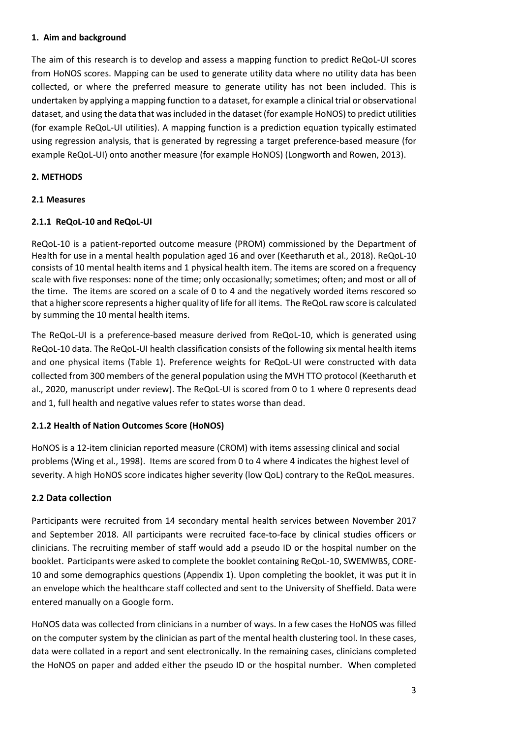#### **1. Aim and background**

The aim of this research is to develop and assess a mapping function to predict ReQoL-UI scores from HoNOS scores. Mapping can be used to generate utility data where no utility data has been collected, or where the preferred measure to generate utility has not been included. This is undertaken by applying a mapping function to a dataset, for example a clinical trial or observational dataset, and using the data that was included in the dataset (for example HoNOS) to predict utilities (for example ReQoL-UI utilities). A mapping function is a prediction equation typically estimated using regression analysis, that is generated by regressing a target preference-based measure (for example ReQoL-UI) onto another measure (for example HoNOS) (Longworth and Rowen, 2013).

#### **2. METHODS**

#### **2.1 Measures**

#### **2.1.1 ReQoL-10 and ReQoL-UI**

ReQoL-10 is a patient-reported outcome measure (PROM) commissioned by the Department of Health for use in a mental health population aged 16 and over (Keetharuth et al., 2018). ReQoL-10 consists of 10 mental health items and 1 physical health item. The items are scored on a frequency scale with five responses: none of the time; only occasionally; sometimes; often; and most or all of the time. The items are scored on a scale of 0 to 4 and the negatively worded items rescored so that a higher score represents a higher quality of life for all items. The ReQoL raw score is calculated by summing the 10 mental health items.

The ReQoL-UI is a preference-based measure derived from ReQoL-10, which is generated using ReQoL-10 data. The ReQoL-UI health classification consists of the following six mental health items and one physical items (Table 1). Preference weights for ReQoL-UI were constructed with data collected from 300 members of the general population using the MVH TTO protocol (Keetharuth et al., 2020, manuscript under review). The ReQoL-UI is scored from 0 to 1 where 0 represents dead and 1, full health and negative values refer to states worse than dead.

#### **2.1.2 Health of Nation Outcomes Score (HoNOS)**

HoNOS is a 12-item clinician reported measure (CROM) with items assessing clinical and social problems (Wing et al., 1998). Items are scored from 0 to 4 where 4 indicates the highest level of severity. A high HoNOS score indicates higher severity (low QoL) contrary to the ReQoL measures.

#### **2.2 Data collection**

Participants were recruited from 14 secondary mental health services between November 2017 and September 2018. All participants were recruited face-to-face by clinical studies officers or clinicians. The recruiting member of staff would add a pseudo ID or the hospital number on the booklet. Participants were asked to complete the booklet containing ReQoL-10, SWEMWBS, CORE-10 and some demographics questions (Appendix 1). Upon completing the booklet, it was put it in an envelope which the healthcare staff collected and sent to the University of Sheffield. Data were entered manually on a Google form.

HoNOS data was collected from clinicians in a number of ways. In a few cases the HoNOS was filled on the computer system by the clinician as part of the mental health clustering tool. In these cases, data were collated in a report and sent electronically. In the remaining cases, clinicians completed the HoNOS on paper and added either the pseudo ID or the hospital number. When completed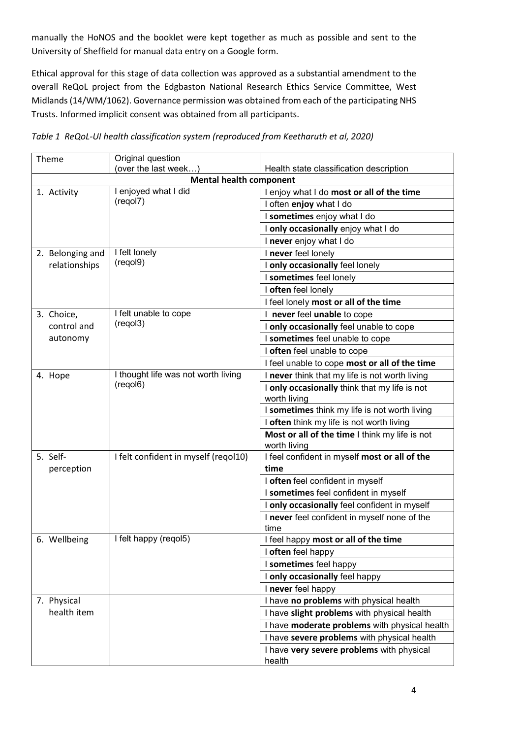manually the HoNOS and the booklet were kept together as much as possible and sent to the University of Sheffield for manual data entry on a Google form.

Ethical approval for this stage of data collection was approved as a substantial amendment to the overall ReQoL project from the Edgbaston National Research Ethics Service Committee, West Midlands (14/WM/1062). Governance permission was obtained from each of the participating NHS Trusts. Informed implicit consent was obtained from all participants.

| Theme            | Original question                    |                                                |  |  |  |
|------------------|--------------------------------------|------------------------------------------------|--|--|--|
|                  | (over the last week)                 | Health state classification description        |  |  |  |
|                  | <b>Mental health component</b>       |                                                |  |  |  |
| 1. Activity      | I enjoyed what I did                 | I enjoy what I do most or all of the time      |  |  |  |
|                  | (regol7)                             | I often enjoy what I do                        |  |  |  |
|                  |                                      | I sometimes enjoy what I do                    |  |  |  |
|                  |                                      | I only occasionally enjoy what I do            |  |  |  |
|                  |                                      | I never enjoy what I do                        |  |  |  |
| 2. Belonging and | I felt lonely                        | I never feel lonely                            |  |  |  |
| relationships    | (regol9)                             | I only occasionally feel lonely                |  |  |  |
|                  |                                      | I sometimes feel lonely                        |  |  |  |
|                  |                                      | I often feel lonely                            |  |  |  |
|                  |                                      | I feel lonely most or all of the time          |  |  |  |
| 3. Choice,       | I felt unable to cope                | I never feel unable to cope                    |  |  |  |
| control and      | (regol3)                             | I only occasionally feel unable to cope        |  |  |  |
| autonomy         |                                      | I sometimes feel unable to cope                |  |  |  |
|                  |                                      | I often feel unable to cope                    |  |  |  |
|                  |                                      | I feel unable to cope most or all of the time  |  |  |  |
| 4. Hope          | I thought life was not worth living  | I never think that my life is not worth living |  |  |  |
|                  | (regol6)                             | I only occasionally think that my life is not  |  |  |  |
|                  |                                      | worth living                                   |  |  |  |
|                  |                                      | I sometimes think my life is not worth living  |  |  |  |
|                  |                                      | I often think my life is not worth living      |  |  |  |
|                  |                                      | Most or all of the time I think my life is not |  |  |  |
|                  |                                      | worth living                                   |  |  |  |
| 5. Self-         | I felt confident in myself (regol10) | I feel confident in myself most or all of the  |  |  |  |
| perception       |                                      | time                                           |  |  |  |
|                  |                                      | I often feel confident in myself               |  |  |  |
|                  |                                      | I sometimes feel confident in myself           |  |  |  |
|                  |                                      | I only occasionally feel confident in myself   |  |  |  |
|                  |                                      | I never feel confident in myself none of the   |  |  |  |
|                  |                                      | time                                           |  |  |  |
| 6. Wellbeing     | I felt happy (regol5)                | I feel happy most or all of the time           |  |  |  |
|                  |                                      | I often feel happy                             |  |  |  |
|                  |                                      | I sometimes feel happy                         |  |  |  |
|                  |                                      | I only occasionally feel happy                 |  |  |  |
|                  |                                      | I never feel happy                             |  |  |  |
| 7. Physical      |                                      | I have no problems with physical health        |  |  |  |
| health item      |                                      | I have slight problems with physical health    |  |  |  |
|                  |                                      | I have moderate problems with physical health  |  |  |  |
|                  |                                      | I have severe problems with physical health    |  |  |  |
|                  |                                      | I have very severe problems with physical      |  |  |  |
|                  |                                      | health                                         |  |  |  |

| Table 1 ReQoL-UI health classification system (reproduced from Keetharuth et al, 2020) |  |  |  |  |
|----------------------------------------------------------------------------------------|--|--|--|--|
|                                                                                        |  |  |  |  |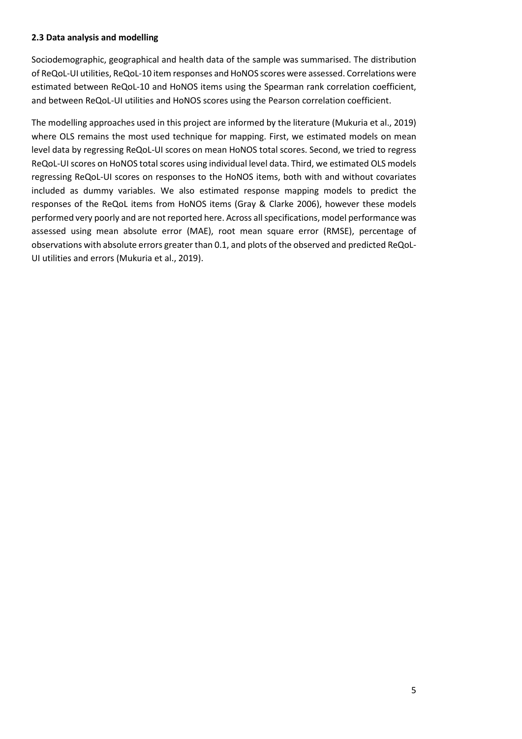#### **2.3 Data analysis and modelling**

Sociodemographic, geographical and health data of the sample was summarised. The distribution of ReQoL-UI utilities, ReQoL-10 item responses and HoNOS scores were assessed. Correlations were estimated between ReQoL-10 and HoNOS items using the Spearman rank correlation coefficient, and between ReQoL-UI utilities and HoNOS scores using the Pearson correlation coefficient.

The modelling approaches used in this project are informed by the literature (Mukuria et al., 2019) where OLS remains the most used technique for mapping. First, we estimated models on mean level data by regressing ReQoL-UI scores on mean HoNOS total scores. Second, we tried to regress ReQoL-UI scores on HoNOS total scores using individual level data. Third, we estimated OLS models regressing ReQoL-UI scores on responses to the HoNOS items, both with and without covariates included as dummy variables. We also estimated response mapping models to predict the responses of the ReQoL items from HoNOS items (Gray & Clarke 2006), however these models performed very poorly and are not reported here. Across all specifications, model performance was assessed using mean absolute error (MAE), root mean square error (RMSE), percentage of observations with absolute errors greater than 0.1, and plots of the observed and predicted ReQoL-UI utilities and errors (Mukuria et al., 2019).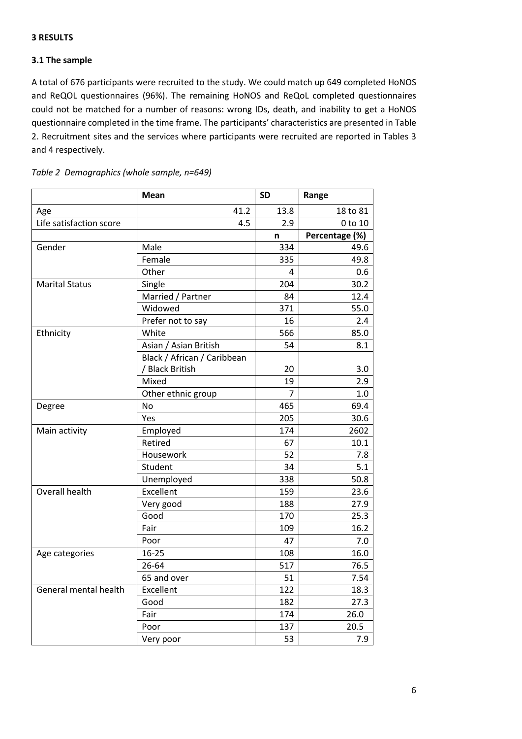#### **3 RESULTS**

#### **3.1 The sample**

A total of 676 participants were recruited to the study. We could match up 649 completed HoNOS and ReQOL questionnaires (96%). The remaining HoNOS and ReQoL completed questionnaires could not be matched for a number of reasons: wrong IDs, death, and inability to get a HoNOS questionnaire completed in the time frame. The participants' characteristics are presented in Table 2. Recruitment sites and the services where participants were recruited are reported in Tables 3 and 4 respectively.

|                         | <b>Mean</b>                 | <b>SD</b>      | Range          |
|-------------------------|-----------------------------|----------------|----------------|
| Age                     | 41.2                        | 13.8           | 18 to 81       |
| Life satisfaction score | 4.5                         | 2.9            | 0 to 10        |
|                         |                             | n              | Percentage (%) |
| Gender                  | Male                        | 334            | 49.6           |
|                         | Female                      | 335            | 49.8           |
|                         | Other                       | 4              | 0.6            |
| <b>Marital Status</b>   | Single                      | 204            | 30.2           |
|                         | Married / Partner           | 84             | 12.4           |
|                         | Widowed                     | 371            | 55.0           |
|                         | Prefer not to say           | 16             | 2.4            |
| Ethnicity               | White                       | 566            | 85.0           |
|                         | Asian / Asian British       | 54             | 8.1            |
|                         | Black / African / Caribbean |                |                |
|                         | / Black British             | 20             | 3.0            |
|                         | Mixed                       | 19             | 2.9            |
|                         | Other ethnic group          | $\overline{7}$ | 1.0            |
| Degree                  | No                          | 465            | 69.4           |
|                         | Yes                         | 205            | 30.6           |
| Main activity           | Employed                    | 174            | 2602           |
|                         | Retired                     | 67             | 10.1           |
|                         | Housework                   | 52             | 7.8            |
|                         | Student                     | 34             | 5.1            |
|                         | Unemployed                  | 338            | 50.8           |
| Overall health          | Excellent                   | 159            | 23.6           |
|                         | Very good                   | 188            | 27.9           |
|                         | Good                        | 170            | 25.3           |
|                         | Fair                        | 109            | 16.2           |
|                         | Poor                        | 47             | 7.0            |
| Age categories          | $16 - 25$                   | 108            | 16.0           |
|                         | 26-64                       | 517            | 76.5           |
|                         | 65 and over                 | 51             | 7.54           |
| General mental health   | Excellent                   | 122            | 18.3           |
|                         | Good                        | 182            | 27.3           |
|                         | Fair                        | 174            | 26.0           |
|                         | Poor                        | 137            | 20.5           |
|                         | Very poor                   | 53             | 7.9            |

| Table 2 Demographics (whole sample, n=649) |  |
|--------------------------------------------|--|
|--------------------------------------------|--|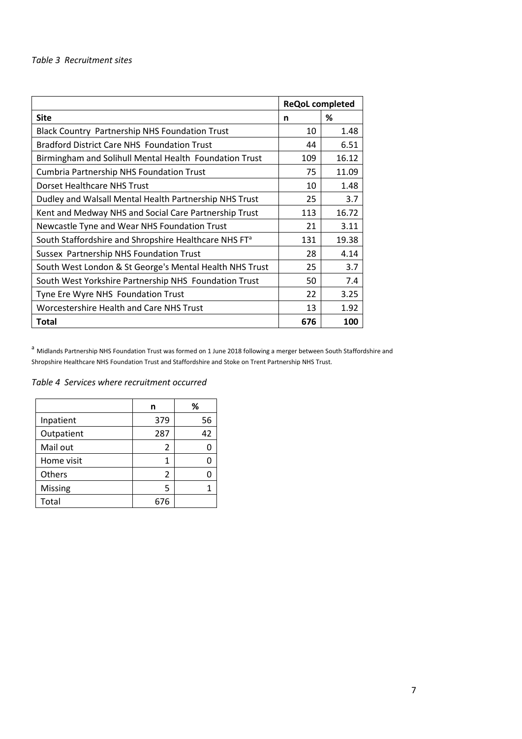|                                                                   | <b>ReQoL completed</b> |       |
|-------------------------------------------------------------------|------------------------|-------|
| <b>Site</b>                                                       | n                      | ℅     |
| <b>Black Country Partnership NHS Foundation Trust</b>             | 10                     | 1.48  |
| <b>Bradford District Care NHS Foundation Trust</b>                | 44                     | 6.51  |
| Birmingham and Solihull Mental Health Foundation Trust            | 109                    | 16.12 |
| <b>Cumbria Partnership NHS Foundation Trust</b>                   | 75                     | 11.09 |
| Dorset Healthcare NHS Trust                                       | 10                     | 1.48  |
| Dudley and Walsall Mental Health Partnership NHS Trust            | 25                     | 3.7   |
| Kent and Medway NHS and Social Care Partnership Trust             | 113                    | 16.72 |
| Newcastle Tyne and Wear NHS Foundation Trust                      | 21                     | 3.11  |
| South Staffordshire and Shropshire Healthcare NHS FT <sup>a</sup> | 131                    | 19.38 |
| Sussex Partnership NHS Foundation Trust                           | 28                     | 4.14  |
| South West London & St George's Mental Health NHS Trust           | 25                     | 3.7   |
| South West Yorkshire Partnership NHS Foundation Trust             | 50                     | 7.4   |
| Tyne Ere Wyre NHS Foundation Trust                                | 22                     | 3.25  |
| Worcestershire Health and Care NHS Trust                          | 13                     | 1.92  |
| <b>Total</b>                                                      | 676                    | 100   |

<sup>a</sup> Midlands Partnership NHS Foundation Trust was formed on 1 June 2018 following a merger between South Staffordshire and Shropshire Healthcare NHS Foundation Trust and Staffordshire and Stoke on Trent Partnership NHS Trust.

*Table 4 Services where recruitment occurred* 

|            | n   | %  |
|------------|-----|----|
| Inpatient  | 379 | 56 |
| Outpatient | 287 | 42 |
| Mail out   | 2   |    |
| Home visit | 1   |    |
| Others     | 2   |    |
| Missing    | 5   |    |
| Total      | 676 |    |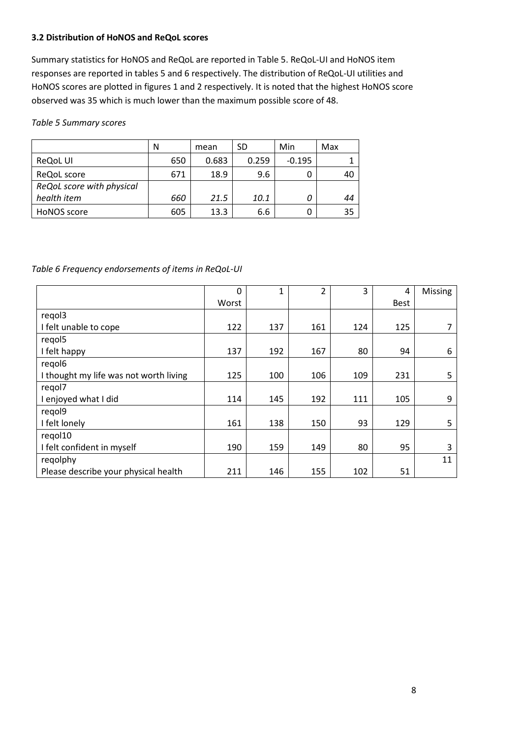#### **3.2 Distribution of HoNOS and ReQoL scores**

Summary statistics for HoNOS and ReQoL are reported in Table 5. ReQoL-UI and HoNOS item responses are reported in tables 5 and 6 respectively. The distribution of ReQoL-UI utilities and HoNOS scores are plotted in figures 1 and 2 respectively. It is noted that the highest HoNOS score observed was 35 which is much lower than the maximum possible score of 48.

*Table 5 Summary scores* 

|                           | N   | mean  | SD    | Min      | Max |
|---------------------------|-----|-------|-------|----------|-----|
| ReQoL UI                  | 650 | 0.683 | 0.259 | $-0.195$ |     |
| ReQoL score               | 671 | 18.9  | 9.6   | 0        | 40  |
| ReQoL score with physical |     |       |       |          |     |
| health item               | 660 | 21.5  | 10.1  | 0        | 44  |
| HoNOS score               | 605 | 13.3  | 6.6   | 0        | 35  |

#### *Table 6 Frequency endorsements of items in ReQoL-UI*

|                                        | 0     | 1   | 2   | 3   | 4    | <b>Missing</b> |
|----------------------------------------|-------|-----|-----|-----|------|----------------|
|                                        | Worst |     |     |     | Best |                |
| regol3                                 |       |     |     |     |      |                |
| I felt unable to cope                  | 122   | 137 | 161 | 124 | 125  | 7              |
| regol5                                 |       |     |     |     |      |                |
| I felt happy                           | 137   | 192 | 167 | 80  | 94   | 6              |
| regol <sub>6</sub>                     |       |     |     |     |      |                |
| I thought my life was not worth living | 125   | 100 | 106 | 109 | 231  | 5              |
| regol7                                 |       |     |     |     |      |                |
| I enjoyed what I did                   | 114   | 145 | 192 | 111 | 105  | 9              |
| regol9                                 |       |     |     |     |      |                |
| I felt lonely                          | 161   | 138 | 150 | 93  | 129  | 5              |
| regol10                                |       |     |     |     |      |                |
| I felt confident in myself             | 190   | 159 | 149 | 80  | 95   | 3              |
| regolphy                               |       |     |     |     |      | 11             |
| Please describe your physical health   | 211   | 146 | 155 | 102 | 51   |                |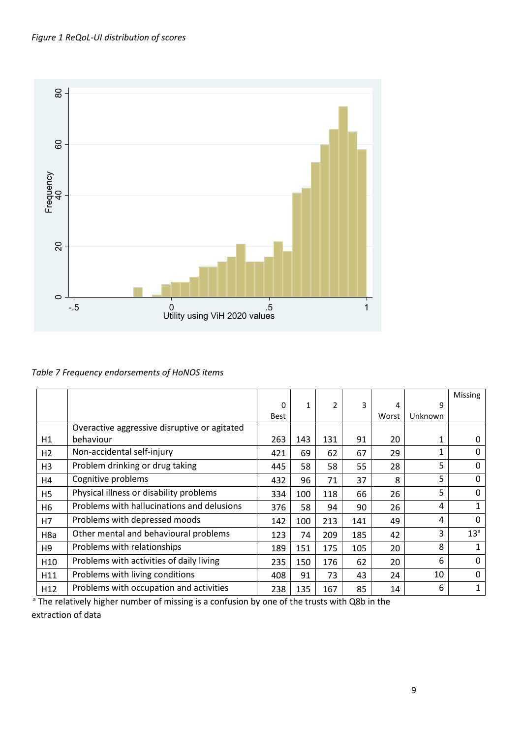

*Table 7 Frequency endorsements of HoNOS items* 

|                  |                                              |             |              |                |     |       |         | <b>Missing</b>  |
|------------------|----------------------------------------------|-------------|--------------|----------------|-----|-------|---------|-----------------|
|                  |                                              | $\Omega$    | $\mathbf{1}$ | $\mathfrak{p}$ | 3   | 4     | 9       |                 |
|                  |                                              | <b>Best</b> |              |                |     | Worst | Unknown |                 |
|                  | Overactive aggressive disruptive or agitated |             |              |                |     |       |         |                 |
| H1               | behaviour                                    | 263         | 143          | 131            | 91  | 20    | 1       | 0               |
| H <sub>2</sub>   | Non-accidental self-injury                   | 421         | 69           | 62             | 67  | 29    | 1       | $\Omega$        |
| H <sub>3</sub>   | Problem drinking or drug taking              | 445         | 58           | 58             | 55  | 28    | 5       | $\Omega$        |
| H4               | Cognitive problems                           | 432         | 96           | 71             | 37  | 8     | 5       | $\Omega$        |
| H <sub>5</sub>   | Physical illness or disability problems      | 334         | 100          | 118            | 66  | 26    | 5       | $\Omega$        |
| H6               | Problems with hallucinations and delusions   | 376         | 58           | 94             | 90  | 26    | 4       | 1               |
| H7               | Problems with depressed moods                | 142         | 100          | 213            | 141 | 49    | 4       | $\Omega$        |
| H <sub>8</sub> a | Other mental and behavioural problems        | 123         | 74           | 209            | 185 | 42    | 3       | 13 <sup>a</sup> |
| H <sub>9</sub>   | Problems with relationships                  | 189         | 151          | 175            | 105 | 20    | 8       |                 |
| H <sub>10</sub>  | Problems with activities of daily living     | 235         | 150          | 176            | 62  | 20    | 6       | $\Omega$        |
| H11              | Problems with living conditions              | 408         | 91           | 73             | 43  | 24    | 10      | $\Omega$        |
| H <sub>12</sub>  | Problems with occupation and activities      | 238         | 135          | 167            | 85  | 14    | 6       | 1               |

<sup>a</sup> The relatively higher number of missing is a confusion by one of the trusts with Q8b in the

extraction of data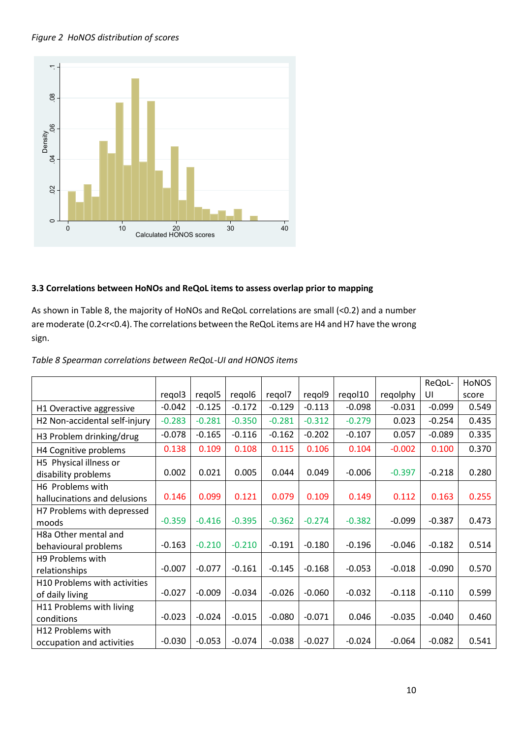#### *Figure 2 HoNOS distribution of scores*



#### **3.3 Correlations between HoNOs and ReQoL items to assess overlap prior to mapping**

As shown in Table 8, the majority of HoNOs and ReQoL correlations are small (<0.2) and a number are moderate (0.2<r<0.4). The correlations between the ReQoL items are H4 and H7 have the wrong sign.

|                                                  |          |                    |          |          |          |          |          | ReQoL-   | <b>HONOS</b> |
|--------------------------------------------------|----------|--------------------|----------|----------|----------|----------|----------|----------|--------------|
|                                                  | regol3   | regol <sub>5</sub> | regol6   | regol7   | regol9   | regol10  | regolphy | UI       | score        |
| H1 Overactive aggressive                         | $-0.042$ | $-0.125$           | $-0.172$ | $-0.129$ | $-0.113$ | $-0.098$ | $-0.031$ | $-0.099$ | 0.549        |
| H2 Non-accidental self-injury                    | $-0.283$ | $-0.281$           | $-0.350$ | $-0.281$ | $-0.312$ | $-0.279$ | 0.023    | $-0.254$ | 0.435        |
| H3 Problem drinking/drug                         | $-0.078$ | $-0.165$           | $-0.116$ | $-0.162$ | $-0.202$ | $-0.107$ | 0.057    | $-0.089$ | 0.335        |
| H4 Cognitive problems                            | 0.138    | 0.109              | 0.108    | 0.115    | 0.106    | 0.104    | $-0.002$ | 0.100    | 0.370        |
| H5 Physical illness or<br>disability problems    | 0.002    | 0.021              | 0.005    | 0.044    | 0.049    | $-0.006$ | $-0.397$ | $-0.218$ | 0.280        |
| H6 Problems with<br>hallucinations and delusions | 0.146    | 0.099              | 0.121    | 0.079    | 0.109    | 0.149    | 0.112    | 0.163    | 0.255        |
| H7 Problems with depressed<br>moods              | $-0.359$ | $-0.416$           | $-0.395$ | $-0.362$ | $-0.274$ | $-0.382$ | $-0.099$ | $-0.387$ | 0.473        |
| H8a Other mental and<br>behavioural problems     | $-0.163$ | $-0.210$           | $-0.210$ | $-0.191$ | $-0.180$ | $-0.196$ | $-0.046$ | $-0.182$ | 0.514        |
| H9 Problems with<br>relationships                | $-0.007$ | $-0.077$           | $-0.161$ | $-0.145$ | $-0.168$ | $-0.053$ | $-0.018$ | $-0.090$ | 0.570        |
| H10 Problems with activities<br>of daily living  | $-0.027$ | $-0.009$           | $-0.034$ | $-0.026$ | $-0.060$ | $-0.032$ | $-0.118$ | $-0.110$ | 0.599        |
| H11 Problems with living<br>conditions           | $-0.023$ | $-0.024$           | $-0.015$ | $-0.080$ | $-0.071$ | 0.046    | $-0.035$ | $-0.040$ | 0.460        |
| H12 Problems with<br>occupation and activities   | $-0.030$ | $-0.053$           | $-0.074$ | $-0.038$ | $-0.027$ | $-0.024$ | $-0.064$ | $-0.082$ | 0.541        |

#### *Table 8 Spearman correlations between ReQoL-UI and HONOS items*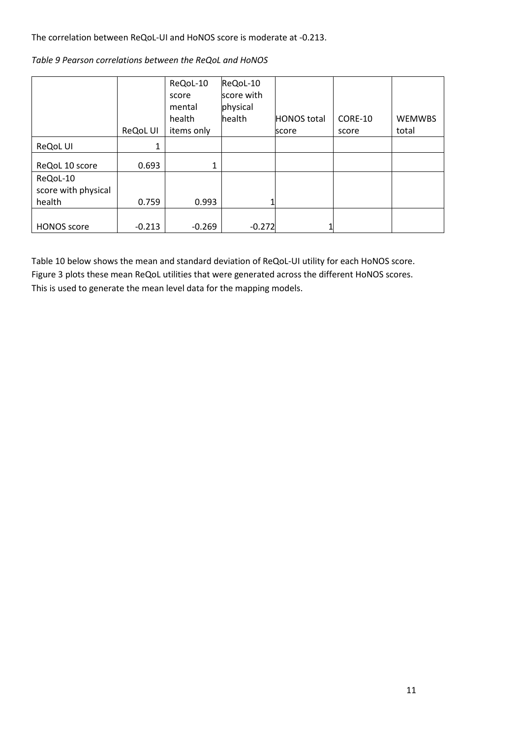The correlation between ReQoL-UI and HoNOS score is moderate at -0.213.

|  |  | Table 9 Pearson correlations between the ReQoL and HoNOS |
|--|--|----------------------------------------------------------|
|  |  |                                                          |

|                     | ReQoL UI | ReQoL-10<br>score<br>mental<br>health<br>items only | ReQoL-10<br>score with<br>physical<br>health | <b>HONOS</b> total<br>score | CORE-10<br>score | <b>WEMWBS</b><br>total |
|---------------------|----------|-----------------------------------------------------|----------------------------------------------|-----------------------------|------------------|------------------------|
|                     |          |                                                     |                                              |                             |                  |                        |
| <b>ReQoL UI</b>     | 1        |                                                     |                                              |                             |                  |                        |
| ReQoL 10 score      | 0.693    | 1                                                   |                                              |                             |                  |                        |
| ReQoL-10            |          |                                                     |                                              |                             |                  |                        |
| score with physical |          |                                                     |                                              |                             |                  |                        |
| health              | 0.759    | 0.993                                               |                                              |                             |                  |                        |
|                     |          |                                                     |                                              |                             |                  |                        |
| <b>HONOS</b> score  | $-0.213$ | $-0.269$                                            | $-0.272$                                     |                             |                  |                        |

Table 10 below shows the mean and standard deviation of ReQoL-UI utility for each HoNOS score. Figure 3 plots these mean ReQoL utilities that were generated across the different HoNOS scores. This is used to generate the mean level data for the mapping models.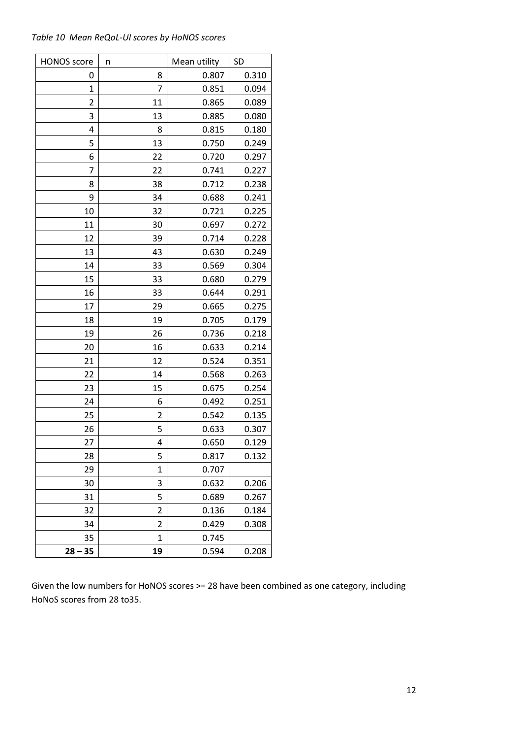|  | Table 10 Mean ReQoL-UI scores by HoNOS scores |  |  |
|--|-----------------------------------------------|--|--|
|--|-----------------------------------------------|--|--|

| <b>HONOS</b> score | n              | Mean utility | <b>SD</b> |
|--------------------|----------------|--------------|-----------|
| 0                  | 8              | 0.807        | 0.310     |
| 1                  | 7              | 0.851        | 0.094     |
| 2                  | 11             | 0.865        | 0.089     |
| 3                  | 13             | 0.885        | 0.080     |
| 4                  | 8              | 0.815        | 0.180     |
| 5                  | 13             | 0.750        | 0.249     |
| 6                  | 22             | 0.720        | 0.297     |
| 7                  | 22             | 0.741        | 0.227     |
| 8                  | 38             | 0.712        | 0.238     |
| 9                  | 34             | 0.688        | 0.241     |
| 10                 | 32             | 0.721        | 0.225     |
| 11                 | 30             | 0.697        | 0.272     |
| 12                 | 39             | 0.714        | 0.228     |
| 13                 | 43             | 0.630        | 0.249     |
| 14                 | 33             | 0.569        | 0.304     |
| 15                 | 33             | 0.680        | 0.279     |
| 16                 | 33             | 0.644        | 0.291     |
| 17                 | 29             | 0.665        | 0.275     |
| 18                 | 19             | 0.705        | 0.179     |
| 19                 | 26             | 0.736        | 0.218     |
| 20                 | 16             | 0.633        | 0.214     |
| 21                 | 12             | 0.524        | 0.351     |
| 22                 | 14             | 0.568        | 0.263     |
| 23                 | 15             | 0.675        | 0.254     |
| 24                 | 6              | 0.492        | 0.251     |
| 25                 | $\overline{2}$ | 0.542        | 0.135     |
| 26                 | 5              | 0.633        | 0.307     |
| 27                 | 4              | 0.650        | 0.129     |
| 28                 | 5              | 0.817        | 0.132     |
| 29                 | 1              | 0.707        |           |
| 30                 | 3              | 0.632        | 0.206     |
| 31                 | 5              | 0.689        | 0.267     |
| 32                 | $\overline{2}$ | 0.136        | 0.184     |
| 34                 | 2              | 0.429        | 0.308     |
| 35                 | 1              | 0.745        |           |
| $28 - 35$          | 19             | 0.594        | 0.208     |

Given the low numbers for HoNOS scores >= 28 have been combined as one category, including HoNoS scores from 28 to35.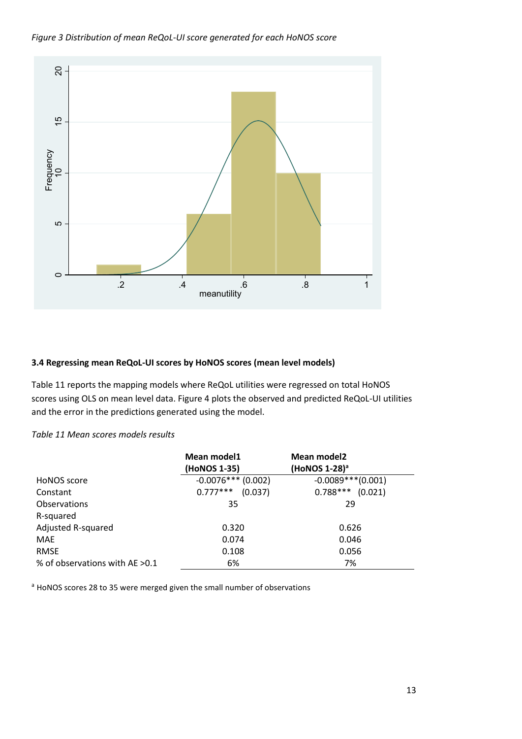*Figure 3 Distribution of mean ReQoL-UI score generated for each HoNOS score* 



#### **3.4 Regressing mean ReQoL-UI scores by HoNOS scores (mean level models)**

Table 11 reports the mapping models where ReQoL utilities were regressed on total HoNOS scores using OLS on mean level data. Figure 4 plots the observed and predicted ReQoL-UI utilities and the error in the predictions generated using the model.

#### *Table 11 Mean scores models results*

|                                 | Mean model1<br>(HoNOS 1-35) | Mean model2<br>(HoNOS 1-28) <sup>a</sup> |
|---------------------------------|-----------------------------|------------------------------------------|
| HoNOS score                     | $-0.0076***$ (0.002)        | $-0.0089***(0.001)$                      |
| Constant                        | $0.777***$<br>(0.037)       | $0.788***$<br>(0.021)                    |
| Observations                    | 35                          | 29                                       |
| R-squared                       |                             |                                          |
| <b>Adjusted R-squared</b>       | 0.320                       | 0.626                                    |
| MAE                             | 0.074                       | 0.046                                    |
| <b>RMSE</b>                     | 0.108                       | 0.056                                    |
| % of observations with AE > 0.1 | 6%                          | 7%                                       |

<sup>a</sup> HoNOS scores 28 to 35 were merged given the small number of observations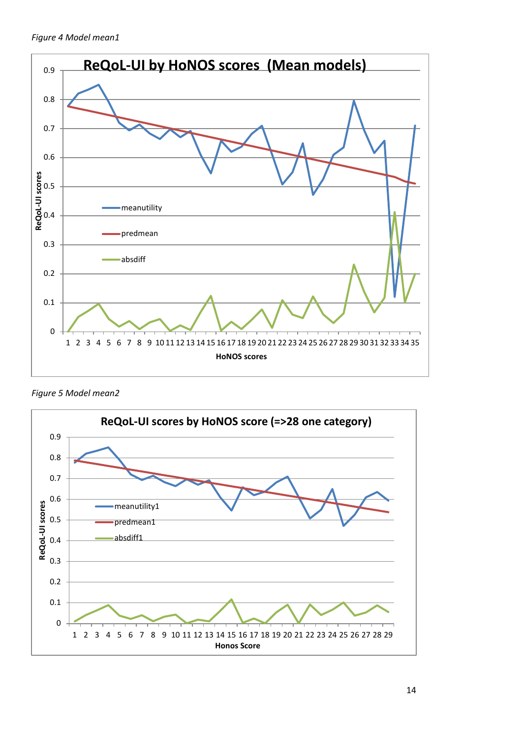*Figure 4 Model mean1*



*Figure 5 Model mean2*

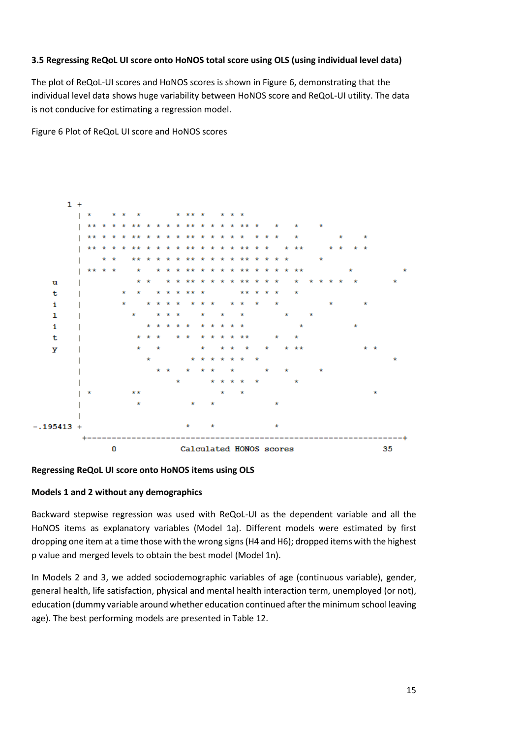#### **3.5 Regressing ReQoL UI score onto HoNOS total score using OLS (using individual level data)**

The plot of ReQoL-UI scores and HoNOS scores is shown in Figure 6, demonstrating that the individual level data shows huge variability between HoNOS score and ReQoL-UI utility. The data is not conducive for estimating a regression model.

Figure 6 Plot of ReQoL UI score and HoNOS scores



#### **Regressing ReQoL UI score onto HoNOS items using OLS**

#### **Models 1 and 2 without any demographics**

Backward stepwise regression was used with ReQoL-UI as the dependent variable and all the HoNOS items as explanatory variables (Model 1a). Different models were estimated by first dropping one item at a time those with the wrong signs (H4 and H6); dropped items with the highest p value and merged levels to obtain the best model (Model 1n).

In Models 2 and 3, we added sociodemographic variables of age (continuous variable), gender, general health, life satisfaction, physical and mental health interaction term, unemployed (or not), education (dummy variable around whether education continued after the minimum school leaving age). The best performing models are presented in Table 12.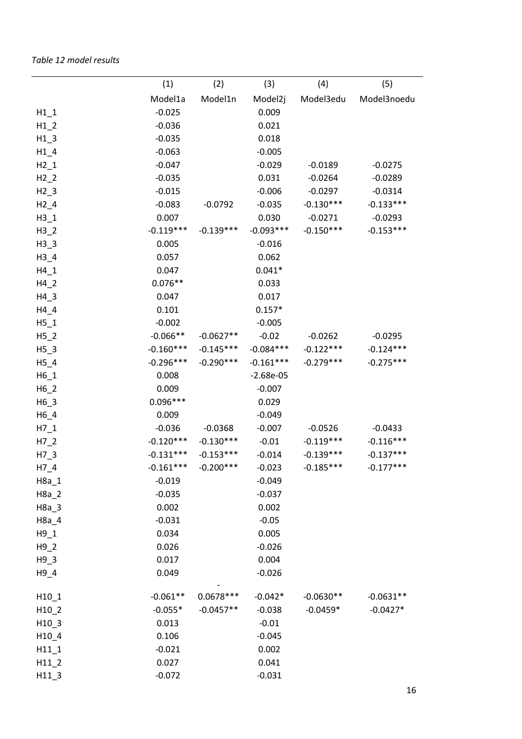|         | (1)         | (2)         | (3)         | (4)         | (5)         |
|---------|-------------|-------------|-------------|-------------|-------------|
|         | Model1a     | Model1n     | Model2j     | Model3edu   | Model3noedu |
| $H1_1$  | $-0.025$    |             | 0.009       |             |             |
| $H1_2$  | $-0.036$    |             | 0.021       |             |             |
| $H1_3$  | $-0.035$    |             | 0.018       |             |             |
| $H1_4$  | $-0.063$    |             | $-0.005$    |             |             |
| $H2_1$  | $-0.047$    |             | $-0.029$    | $-0.0189$   | $-0.0275$   |
| $H2_2$  | $-0.035$    |             | 0.031       | $-0.0264$   | $-0.0289$   |
| $H2_3$  | $-0.015$    |             | $-0.006$    | $-0.0297$   | $-0.0314$   |
| $H2_4$  | $-0.083$    | $-0.0792$   | $-0.035$    | $-0.130***$ | $-0.133***$ |
| $H3_1$  | 0.007       |             | 0.030       | $-0.0271$   | $-0.0293$   |
| $H3_2$  | $-0.119***$ | $-0.139***$ | $-0.093***$ | $-0.150***$ | $-0.153***$ |
| $H3_3$  | 0.005       |             | $-0.016$    |             |             |
| $H3_4$  | 0.057       |             | 0.062       |             |             |
| $H4_1$  | 0.047       |             | $0.041*$    |             |             |
| $H4_2$  | $0.076**$   |             | 0.033       |             |             |
| $H4_3$  | 0.047       |             | 0.017       |             |             |
| $H4_4$  | 0.101       |             | $0.157*$    |             |             |
| $H5_1$  | $-0.002$    |             | $-0.005$    |             |             |
| $H5_2$  | $-0.066**$  | $-0.0627**$ | $-0.02$     | $-0.0262$   | $-0.0295$   |
| $H5_3$  | $-0.160***$ | $-0.145***$ | $-0.084***$ | $-0.122***$ | $-0.124***$ |
| $H5_4$  | $-0.296***$ | $-0.290***$ | $-0.161***$ | $-0.279***$ | $-0.275***$ |
| $H6_1$  | 0.008       |             | $-2.68e-05$ |             |             |
| $H6_2$  | 0.009       |             | $-0.007$    |             |             |
| $H6_3$  | $0.096***$  |             | 0.029       |             |             |
| $H6_4$  | 0.009       |             | $-0.049$    |             |             |
| $H7_1$  | $-0.036$    | $-0.0368$   | $-0.007$    | $-0.0526$   | $-0.0433$   |
| $H7_2$  | $-0.120***$ | $-0.130***$ | $-0.01$     | $-0.119***$ | $-0.116***$ |
| $H7_3$  | $-0.131***$ | $-0.153***$ | $-0.014$    | $-0.139***$ | $-0.137***$ |
| $H7_4$  | $-0.161***$ | $-0.200***$ | $-0.023$    | $-0.185***$ | $-0.177***$ |
| $H8a_1$ | $-0.019$    |             | $-0.049$    |             |             |
| $H8a_2$ | $-0.035$    |             | $-0.037$    |             |             |
| $H8a_3$ | 0.002       |             | 0.002       |             |             |
| $H8a_4$ | $-0.031$    |             | $-0.05$     |             |             |
| $H9_1$  | 0.034       |             | 0.005       |             |             |
| $H9_2$  | 0.026       |             | $-0.026$    |             |             |
| $H9_3$  | 0.017       |             | 0.004       |             |             |
| $H9_4$  | 0.049       |             | $-0.026$    |             |             |
| $H10_1$ | $-0.061**$  | $0.0678***$ | $-0.042*$   | $-0.0630**$ | $-0.0631**$ |
| $H10_2$ | $-0.055*$   | $-0.0457**$ | $-0.038$    | $-0.0459*$  | $-0.0427*$  |
| $H10$ 3 | 0.013       |             | $-0.01$     |             |             |
| $H10_4$ | 0.106       |             | $-0.045$    |             |             |
| $H11_1$ | $-0.021$    |             | 0.002       |             |             |
| $H11_2$ | 0.027       |             | 0.041       |             |             |
| $H11_3$ | $-0.072$    |             | $-0.031$    |             |             |
|         |             |             |             |             |             |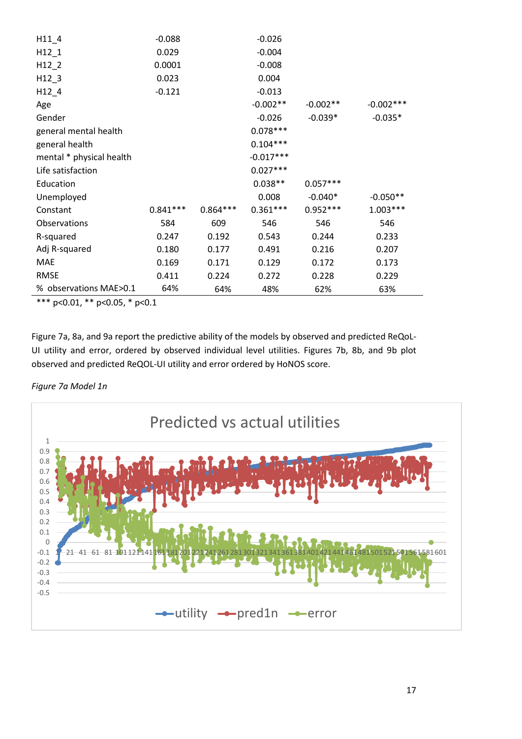| $H11_4$                  | $-0.088$   |            | $-0.026$    |            |             |
|--------------------------|------------|------------|-------------|------------|-------------|
| $H12_1$                  | 0.029      |            | $-0.004$    |            |             |
| $H12$ 2                  | 0.0001     |            | $-0.008$    |            |             |
| $H12$ 3                  | 0.023      |            | 0.004       |            |             |
| $H12_4$                  | $-0.121$   |            | $-0.013$    |            |             |
| Age                      |            |            | $-0.002**$  | $-0.002**$ | $-0.002***$ |
| Gender                   |            |            | $-0.026$    | $-0.039*$  | $-0.035*$   |
| general mental health    |            |            | $0.078***$  |            |             |
| general health           |            |            | $0.104***$  |            |             |
| mental * physical health |            |            | $-0.017***$ |            |             |
| Life satisfaction        |            |            | $0.027***$  |            |             |
| Education                |            |            | $0.038**$   | $0.057***$ |             |
| Unemployed               |            |            | 0.008       | $-0.040*$  | $-0.050**$  |
| Constant                 | $0.841***$ | $0.864***$ | $0.361***$  | $0.952***$ | $1.003***$  |
| Observations             | 584        | 609        | 546         | 546        | 546         |
| R-squared                | 0.247      | 0.192      | 0.543       | 0.244      | 0.233       |
| Adj R-squared            | 0.180      | 0.177      | 0.491       | 0.216      | 0.207       |
| <b>MAE</b>               | 0.169      | 0.171      | 0.129       | 0.172      | 0.173       |
| <b>RMSE</b>              | 0.411      | 0.224      | 0.272       | 0.228      | 0.229       |
| % observations MAE>0.1   | 64%        | 64%        | 48%         | 62%        | 63%         |

\*\*\* p<0.01, \*\* p<0.05, \* p<0.1

Figure 7a, 8a, and 9a report the predictive ability of the models by observed and predicted ReQoL-UI utility and error, ordered by observed individual level utilities. Figures 7b, 8b, and 9b plot observed and predicted ReQOL-UI utility and error ordered by HoNOS score.



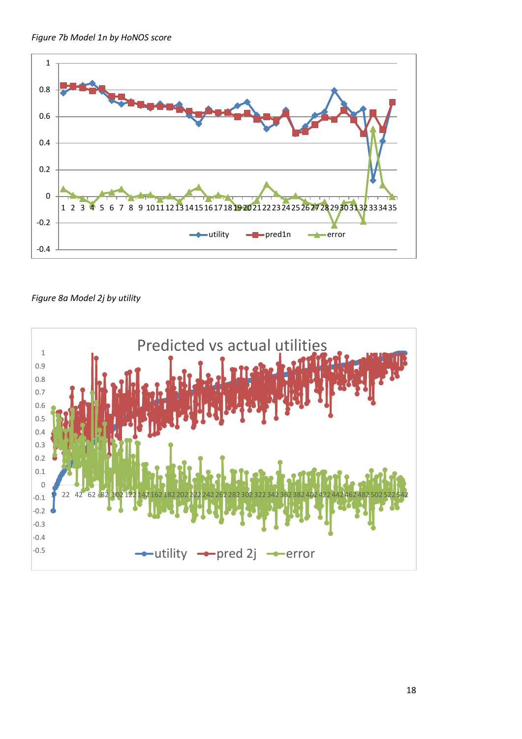



*Figure 8a Model 2j by utility* 

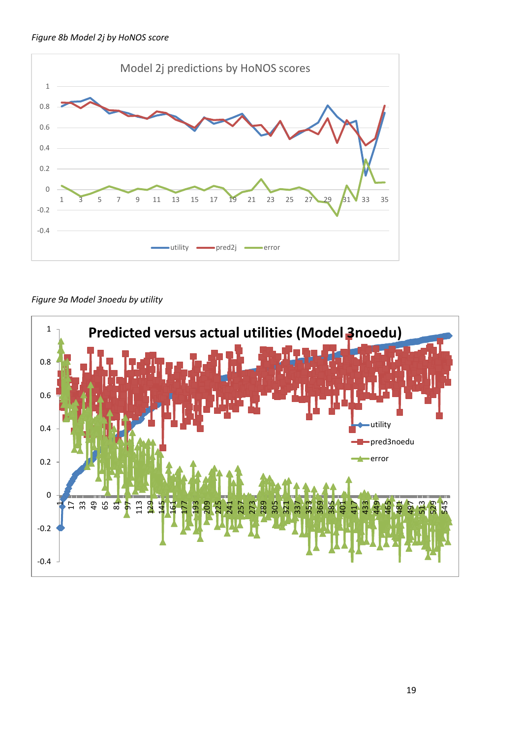



*Figure 9a Model 3noedu by utility* 

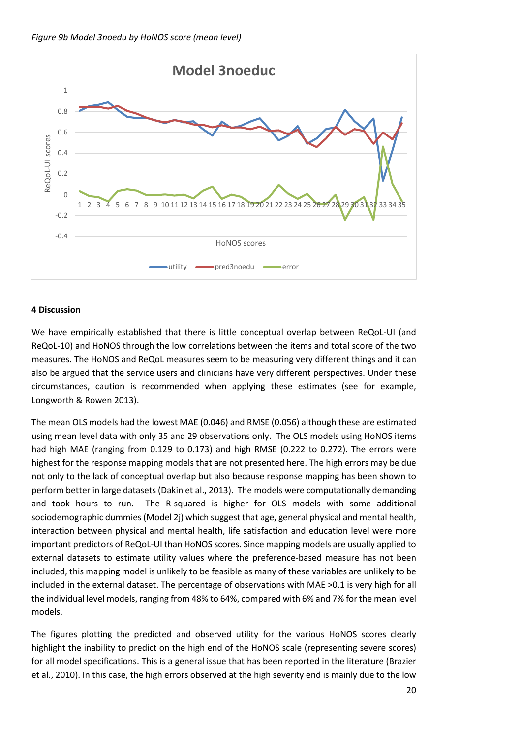

#### **4 Discussion**

We have empirically established that there is little conceptual overlap between ReQoL-UI (and ReQoL-10) and HoNOS through the low correlations between the items and total score of the two measures. The HoNOS and ReQoL measures seem to be measuring very different things and it can also be argued that the service users and clinicians have very different perspectives. Under these circumstances, caution is recommended when applying these estimates (see for example, Longworth & Rowen 2013).

The mean OLS models had the lowest MAE (0.046) and RMSE (0.056) although these are estimated using mean level data with only 35 and 29 observations only. The OLS models using HoNOS items had high MAE (ranging from 0.129 to 0.173) and high RMSE (0.222 to 0.272). The errors were highest for the response mapping models that are not presented here. The high errors may be due not only to the lack of conceptual overlap but also because response mapping has been shown to perform better in large datasets (Dakin et al., 2013). The models were computationally demanding and took hours to run. The R-squared is higher for OLS models with some additional sociodemographic dummies (Model 2j) which suggest that age, general physical and mental health, interaction between physical and mental health, life satisfaction and education level were more important predictors of ReQoL-UI than HoNOS scores. Since mapping models are usually applied to external datasets to estimate utility values where the preference-based measure has not been included, this mapping model is unlikely to be feasible as many of these variables are unlikely to be included in the external dataset. The percentage of observations with MAE >0.1 is very high for all the individual level models, ranging from 48% to 64%, compared with 6% and 7% for the mean level models.

The figures plotting the predicted and observed utility for the various HoNOS scores clearly highlight the inability to predict on the high end of the HoNOS scale (representing severe scores) for all model specifications. This is a general issue that has been reported in the literature (Brazier et al., 2010). In this case, the high errors observed at the high severity end is mainly due to the low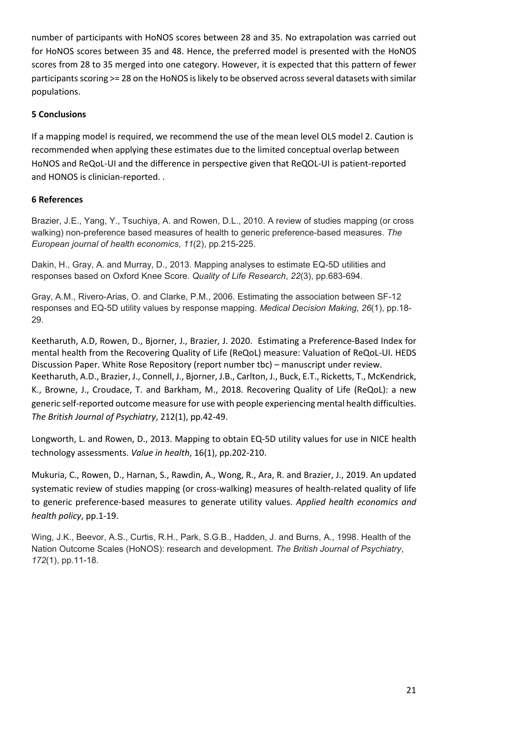number of participants with HoNOS scores between 28 and 35. No extrapolation was carried out for HoNOS scores between 35 and 48. Hence, the preferred model is presented with the HoNOS scores from 28 to 35 merged into one category. However, it is expected that this pattern of fewer participants scoring >= 28 on the HoNOS is likely to be observed across several datasets with similar populations.

#### **5 Conclusions**

If a mapping model is required, we recommend the use of the mean level OLS model 2. Caution is recommended when applying these estimates due to the limited conceptual overlap between HoNOS and ReQoL-UI and the difference in perspective given that ReQOL-UI is patient-reported and HONOS is clinician-reported. .

#### **6 References**

Brazier, J.E., Yang, Y., Tsuchiya, A. and Rowen, D.L., 2010. A review of studies mapping (or cross walking) non-preference based measures of health to generic preference-based measures. *The European journal of health economics*, *11*(2), pp.215-225.

Dakin, H., Gray, A. and Murray, D., 2013. Mapping analyses to estimate EQ-5D utilities and responses based on Oxford Knee Score. *Quality of Life Research*, *22*(3), pp.683-694.

Gray, A.M., Rivero-Arias, O. and Clarke, P.M., 2006. Estimating the association between SF-12 responses and EQ-5D utility values by response mapping. *Medical Decision Making*, *26*(1), pp.18- 29.

Keetharuth, A.D, Rowen, D., Bjorner, J., Brazier, J. 2020. Estimating a Preference-Based Index for mental health from the Recovering Quality of Life (ReQoL) measure: Valuation of ReQoL-UI. HEDS Discussion Paper. White Rose Repository (report number tbc) – manuscript under review. Keetharuth, A.D., Brazier, J., Connell, J., Bjorner, J.B., Carlton, J., Buck, E.T., Ricketts, T., McKendrick, K., Browne, J., Croudace, T. and Barkham, M., 2018. Recovering Quality of Life (ReQoL): a new generic self-reported outcome measure for use with people experiencing mental health difficulties. *The British Journal of Psychiatry*, 212(1), pp.42-49.

Longworth, L. and Rowen, D., 2013. Mapping to obtain EQ-5D utility values for use in NICE health technology assessments. *Value in health*, 16(1), pp.202-210.

Mukuria, C., Rowen, D., Harnan, S., Rawdin, A., Wong, R., Ara, R. and Brazier, J., 2019. An updated systematic review of studies mapping (or cross-walking) measures of health-related quality of life to generic preference-based measures to generate utility values. *Applied health economics and health policy*, pp.1-19.

Wing, J.K., Beevor, A.S., Curtis, R.H., Park, S.G.B., Hadden, J. and Burns, A., 1998. Health of the Nation Outcome Scales (HoNOS): research and development. *The British Journal of Psychiatry*, *172*(1), pp.11-18.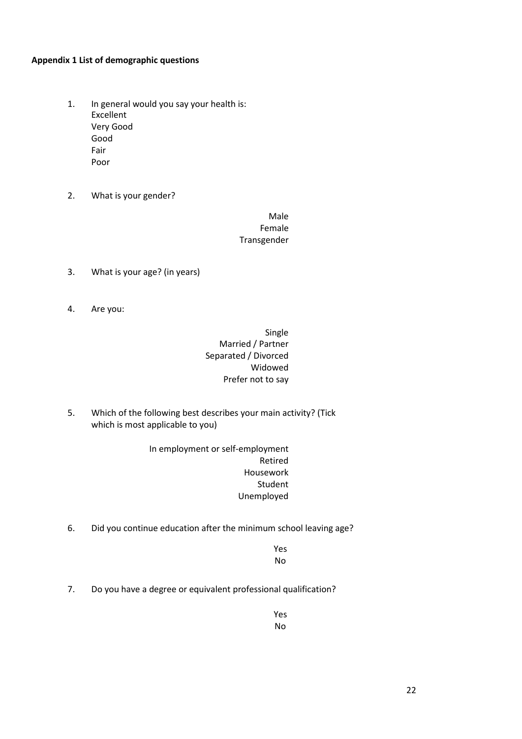#### **Appendix 1 List of demographic questions**

- 1. In general would you say your health is: Excellent Very Good Good Fair Poor
- 2. What is your gender?

Male Female Transgender

- 3. What is your age? (in years)
- 4. Are you:

Single Married / Partner Separated / Divorced Widowed Prefer not to say

5. Which of the following best describes your main activity? (Tick which is most applicable to you)

> In employment or self-employment Retired Housework Student Unemployed

6. Did you continue education after the minimum school leaving age?

Yes No

7. Do you have a degree or equivalent professional qualification?

Yes No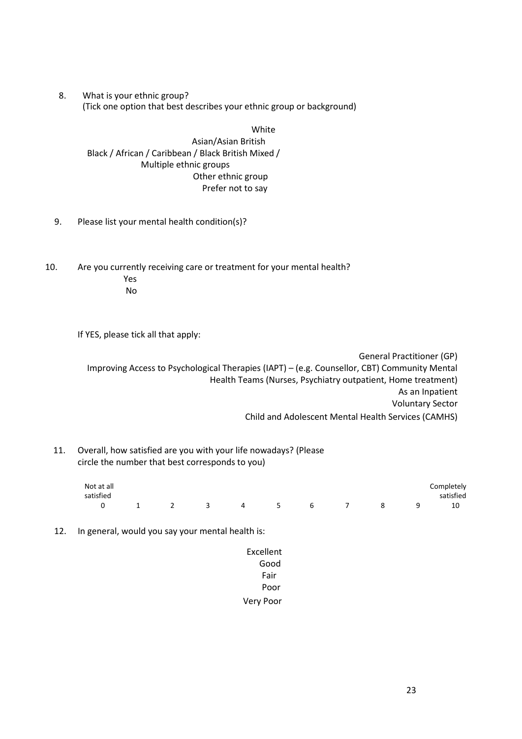8. What is your ethnic group? (Tick one option that best describes your ethnic group or background)

White

Asian/Asian British Black / African / Caribbean / Black British Mixed / Multiple ethnic groups Other ethnic group Prefer not to say

- 9. Please list your mental health condition(s)?
- 10. Are you currently receiving care or treatment for your mental health? Yes No

If YES, please tick all that apply:

General Practitioner (GP) Improving Access to Psychological Therapies (IAPT) - (e.g. Counsellor, CBT) Community Mental Health Teams (Nurses, Psychiatry outpatient, Home treatment) As an Inpatient Voluntary Sector Child and Adolescent Mental Health Services (CAMHS)

11. Overall, how satisfied are you with your life nowadays? (Please circle the number that best corresponds to you)

| Not at all              |                                        |           |  |  |                |          | Completely |
|-------------------------|----------------------------------------|-----------|--|--|----------------|----------|------------|
| satisfied               |                                        |           |  |  |                |          | satisfied  |
| $\overline{\mathbf{0}}$ | $\begin{array}{ccc} & 1 & \end{array}$ | 3 4 5 6 7 |  |  | 8 <sup>2</sup> | <u>q</u> | 10         |

- 12. In general, would you say your mental health is:
	- Excellent Good Fair Poor Very Poor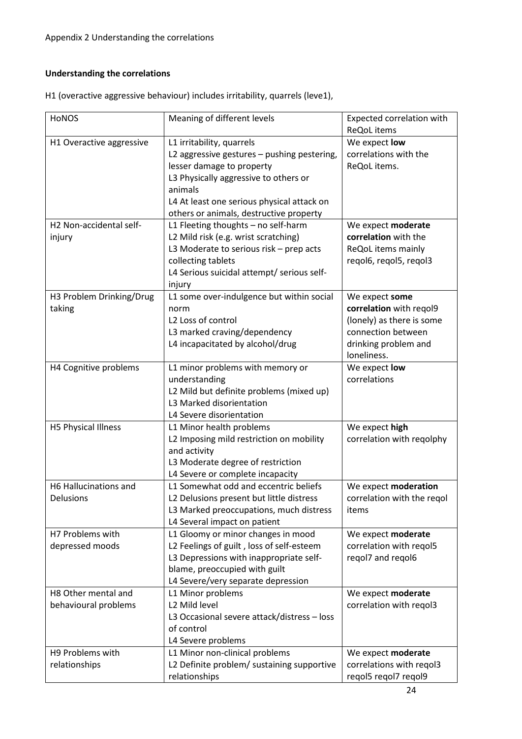#### **Understanding the correlations**

| <b>HONOS</b>             | Meaning of different levels                 | Expected correlation with  |
|--------------------------|---------------------------------------------|----------------------------|
|                          |                                             | ReQoL items                |
| H1 Overactive aggressive | L1 irritability, quarrels                   | We expect low              |
|                          | L2 aggressive gestures - pushing pestering, | correlations with the      |
|                          | lesser damage to property                   | ReQoL items.               |
|                          | L3 Physically aggressive to others or       |                            |
|                          | animals                                     |                            |
|                          | L4 At least one serious physical attack on  |                            |
|                          | others or animals, destructive property     |                            |
| H2 Non-accidental self-  | L1 Fleeting thoughts - no self-harm         | We expect moderate         |
| injury                   | L2 Mild risk (e.g. wrist scratching)        | correlation with the       |
|                          | L3 Moderate to serious risk $-$ prep acts   | ReQoL items mainly         |
|                          | collecting tablets                          | regol6, regol5, regol3     |
|                          | L4 Serious suicidal attempt/ serious self-  |                            |
|                          | injury                                      |                            |
| H3 Problem Drinking/Drug | L1 some over-indulgence but within social   | We expect some             |
| taking                   | norm                                        | correlation with regol9    |
|                          | L2 Loss of control                          | (lonely) as there is some  |
|                          | L3 marked craving/dependency                | connection between         |
|                          | L4 incapacitated by alcohol/drug            | drinking problem and       |
|                          |                                             | loneliness.                |
| H4 Cognitive problems    | L1 minor problems with memory or            | We expect low              |
|                          | understanding                               | correlations               |
|                          | L2 Mild but definite problems (mixed up)    |                            |
|                          | L3 Marked disorientation                    |                            |
|                          | L4 Severe disorientation                    |                            |
| H5 Physical Illness      | L1 Minor health problems                    | We expect high             |
|                          | L2 Imposing mild restriction on mobility    | correlation with reqolphy  |
|                          | and activity                                |                            |
|                          | L3 Moderate degree of restriction           |                            |
|                          | L4 Severe or complete incapacity            |                            |
| H6 Hallucinations and    | L1 Somewhat odd and eccentric beliefs       | We expect moderation       |
| Delusions                | L2 Delusions present but little distress    | correlation with the regol |
|                          | L3 Marked preoccupations, much distress     | items                      |
|                          | L4 Several impact on patient                |                            |
| H7 Problems with         | L1 Gloomy or minor changes in mood          | We expect moderate         |
| depressed moods          | L2 Feelings of guilt, loss of self-esteem   | correlation with regol5    |
|                          | L3 Depressions with inappropriate self-     | regol7 and regol6          |
|                          | blame, preoccupied with guilt               |                            |
|                          | L4 Severe/very separate depression          |                            |
| H8 Other mental and      | L1 Minor problems                           | We expect moderate         |
| behavioural problems     | L2 Mild level                               | correlation with regol3    |
|                          | L3 Occasional severe attack/distress - loss |                            |
|                          | of control                                  |                            |
|                          | L4 Severe problems                          |                            |
| H9 Problems with         | L1 Minor non-clinical problems              | We expect moderate         |
| relationships            | L2 Definite problem/ sustaining supportive  | correlations with regol3   |
|                          | relationships                               | reqol5 reqol7 reqol9       |

H1 (overactive aggressive behaviour) includes irritability, quarrels (leve1),